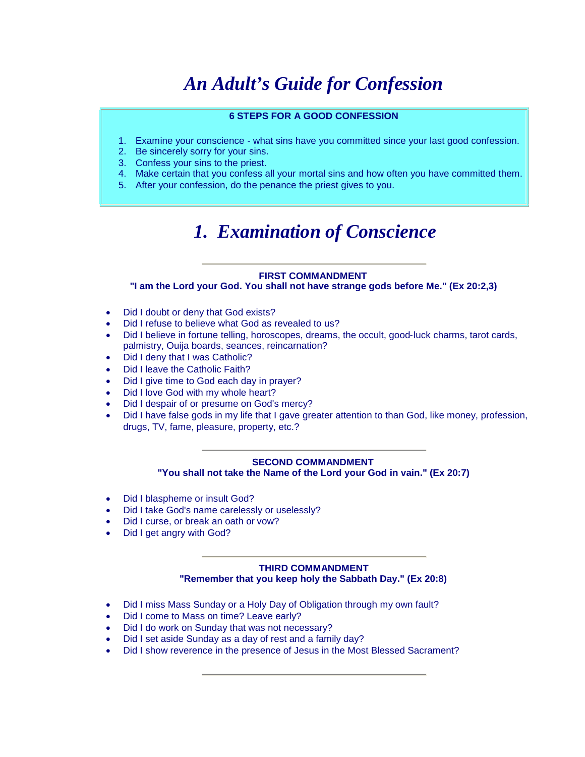# *An Adult's Guide for Confession*

#### **6 STEPS FOR A GOOD CONFESSION**

- 1. Examine your conscience what sins have you committed since your last good confession.
- 2. Be sincerely sorry for your sins.
- 3. Confess your sins to the priest.
- 4. Make certain that you confess all your mortal sins and how often you have committed them.
- 5. After your confession, do the penance the priest gives to you.

# *1. Examination of Conscience*

#### **FIRST COMMANDMENT**

**"I am the Lord your God. You shall not have strange gods before Me." (Ex 20:2,3)**

- Did I doubt or deny that God exists?
- Did I refuse to believe what God as revealed to us?
- Did I believe in fortune telling, horoscopes, dreams, the occult, good-luck charms, tarot cards, palmistry, Ouija boards, seances, reincarnation?
- Did I deny that I was Catholic?
- Did I leave the Catholic Faith?
- Did I give time to God each day in prayer?
- Did I love God with my whole heart?
- Did I despair of or presume on God's mercy?
- Did I have false gods in my life that I gave greater attention to than God, like money, profession, drugs, TV, fame, pleasure, property, etc.?

#### **SECOND COMMANDMENT "You shall not take the Name of the Lord your God in vain." (Ex 20:7)**

- Did I blaspheme or insult God?
- Did I take God's name carelessly or uselessly?
- Did I curse, or break an oath or vow?
- Did I get angry with God?

#### **THIRD COMMANDMENT "Remember that you keep holy the Sabbath Day." (Ex 20:8)**

- Did I miss Mass Sunday or a Holy Day of Obligation through my own fault?
- Did I come to Mass on time? Leave early?
- Did I do work on Sunday that was not necessary?
- Did I set aside Sunday as a day of rest and a family day?
- Did I show reverence in the presence of Jesus in the Most Blessed Sacrament?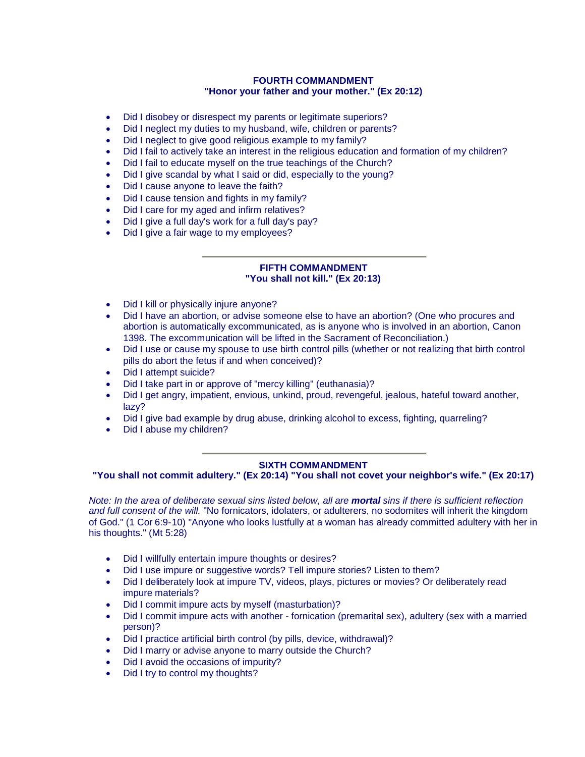#### **FOURTH COMMANDMENT "Honor your father and your mother." (Ex 20:12)**

- Did I disobey or disrespect my parents or legitimate superiors?
- Did I neglect my duties to my husband, wife, children or parents?
- Did I neglect to give good religious example to my family?
- Did I fail to actively take an interest in the religious education and formation of my children?
- Did I fail to educate myself on the true teachings of the Church?
- Did I give scandal by what I said or did, especially to the young?
- Did I cause anyone to leave the faith?
- Did I cause tension and fights in my family?
- Did I care for my aged and infirm relatives?
- Did I give a full day's work for a full day's pay?
- Did I give a fair wage to my employees?

#### **FIFTH COMMANDMENT "You shall not kill." (Ex 20:13)**

- Did I kill or physically injure anyone?
- Did I have an abortion, or advise someone else to have an abortion? (One who procures and abortion is automatically excommunicated, as is anyone who is involved in an abortion, Canon 1398. The excommunication will be lifted in the Sacrament of Reconciliation.)
- Did I use or cause my spouse to use birth control pills (whether or not realizing that birth control pills do abort the fetus if and when conceived)?
- Did I attempt suicide?
- Did I take part in or approve of "mercy killing" (euthanasia)?
- Did I get angry, impatient, envious, unkind, proud, revengeful, jealous, hateful toward another, lazy?
- Did I give bad example by drug abuse, drinking alcohol to excess, fighting, quarreling?
- Did I abuse my children?

#### **SIXTH COMMANDMENT**

**"You shall not commit adultery." (Ex 20:14) "You shall not covet your neighbor's wife." (Ex 20:17)**

*Note: In the area of deliberate sexual sins listed below, all are mortal sins if there is sufficient reflection and full consent of the will.* "No fornicators, idolaters, or adulterers, no sodomites will inherit the kingdom of God." (1 Cor 6:9-10) "Anyone who looks lustfully at a woman has already committed adultery with her in his thoughts." (Mt 5:28)

- Did I willfully entertain impure thoughts or desires?
- Did I use impure or suggestive words? Tell impure stories? Listen to them?
- Did I deliberately look at impure TV, videos, plays, pictures or movies? Or deliberately read impure materials?
- Did I commit impure acts by myself (masturbation)?
- Did I commit impure acts with another fornication (premarital sex), adultery (sex with a married person)?
- Did I practice artificial birth control (by pills, device, withdrawal)?
- Did I marry or advise anyone to marry outside the Church?
- Did I avoid the occasions of impurity?
- Did I try to control my thoughts?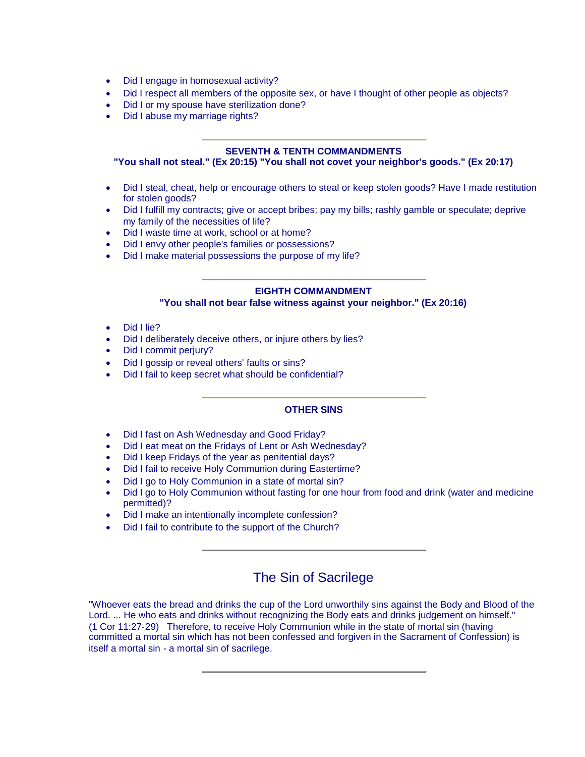- Did I engage in homosexual activity?
- Did I respect all members of the opposite sex, or have I thought of other people as objects?
- Did I or my spouse have sterilization done?
- Did I abuse my marriage rights?

#### **SEVENTH & TENTH COMMANDMENTS**

#### **"You shall not steal." (Ex 20:15) "You shall not covet your neighbor's goods." (Ex 20:17)**

- Did I steal, cheat, help or encourage others to steal or keep stolen goods? Have I made restitution for stolen goods?
- Did I fulfill my contracts; give or accept bribes; pay my bills; rashly gamble or speculate; deprive my family of the necessities of life?
- Did I waste time at work, school or at home?
- Did I envy other people's families or possessions?
- Did I make material possessions the purpose of my life?

#### **EIGHTH COMMANDMENT**

**"You shall not bear false witness against your neighbor." (Ex 20:16)**

- Did I lie?
- Did I deliberately deceive others, or injure others by lies?
- Did I commit perjury?
- Did I gossip or reveal others' faults or sins?
- Did I fail to keep secret what should be confidential?

#### **OTHER SINS**

- Did I fast on Ash Wednesday and Good Friday?
- Did I eat meat on the Fridays of Lent or Ash Wednesday?
- Did I keep Fridays of the year as penitential days?
- Did I fail to receive Holy Communion during Eastertime?
- Did I go to Holy Communion in a state of mortal sin?
- Did I go to Holy Communion without fasting for one hour from food and drink (water and medicine permitted)?
- Did I make an intentionally incomplete confession?
- Did I fail to contribute to the support of the Church?

### The Sin of Sacrilege

"Whoever eats the bread and drinks the cup of the Lord unworthily sins against the Body and Blood of the Lord. ... He who eats and drinks without recognizing the Body eats and drinks judgement on himself." (1 Cor 11:27-29) Therefore, to receive Holy Communion while in the state of mortal sin (having committed a mortal sin which has not been confessed and forgiven in the Sacrament of Confession) is itself a mortal sin - a mortal sin of sacrilege.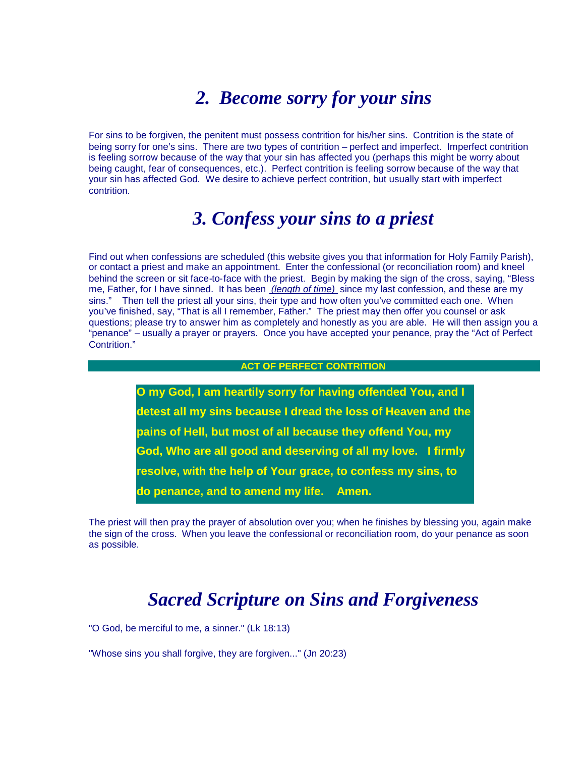## *2. Become sorry for your sins*

For sins to be forgiven, the penitent must possess contrition for his/her sins. Contrition is the state of being sorry for one's sins. There are two types of contrition – perfect and imperfect. Imperfect contrition is feeling sorrow because of the way that your sin has affected you (perhaps this might be worry about being caught, fear of consequences, etc.). Perfect contrition is feeling sorrow because of the way that your sin has affected God. We desire to achieve perfect contrition, but usually start with imperfect contrition.

## *3. Confess your sins to a priest*

Find out when confessions are scheduled (this website gives you that information for Holy Family Parish), or contact a priest and make an appointment. Enter the confessional (or reconciliation room) and kneel behind the screen or sit face-to-face with the priest. Begin by making the sign of the cross, saying, "Bless me, Father, for I have sinned. It has been *(length of time)* since my last confession, and these are my sins." Then tell the priest all your sins, their type and how often you've committed each one. When you've finished, say, "That is all I remember, Father." The priest may then offer you counsel or ask questions; please try to answer him as completely and honestly as you are able. He will then assign you a "penance" – usually a prayer or prayers. Once you have accepted your penance, pray the "Act of Perfect Contrition."

#### **ACT OF PERFECT CONTRITION**

**O my God, I am heartily sorry for having offended You, and I detest all my sins because I dread the loss of Heaven and the pains of Hell, but most of all because they offend You, my God, Who are all good and deserving of all my love. I firmly resolve, with the help of Your grace, to confess my sins, to do penance, and to amend my life. Amen.**

The priest will then pray the prayer of absolution over you; when he finishes by blessing you, again make the sign of the cross. When you leave the confessional or reconciliation room, do your penance as soon as possible.

## *Sacred Scripture on Sins and Forgiveness*

"O God, be merciful to me, a sinner." (Lk 18:13)

"Whose sins you shall forgive, they are forgiven..." (Jn 20:23)